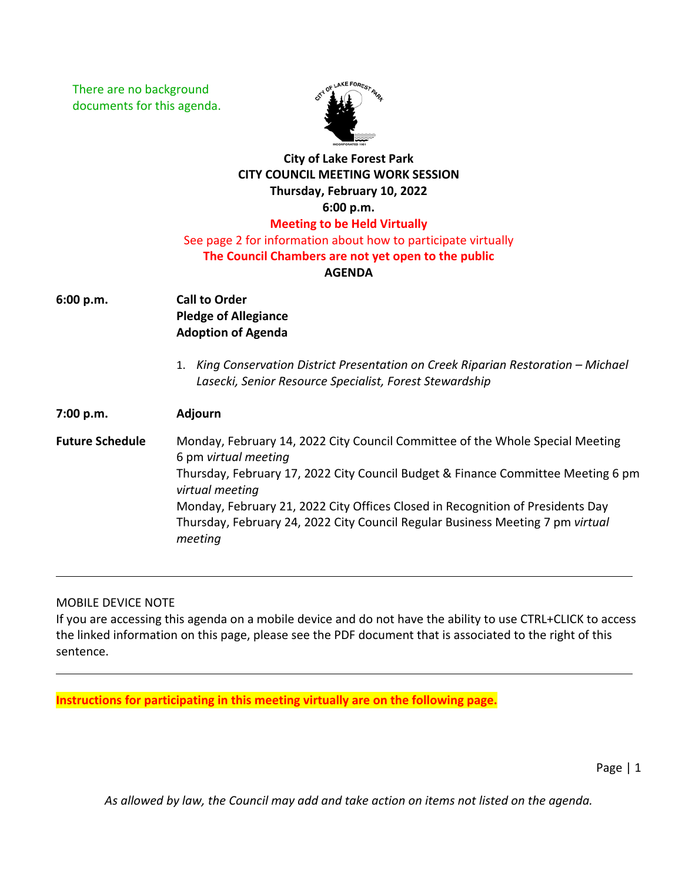There are no background documents for this agenda.



## **City of Lake Forest Park CITY COUNCIL MEETING WORK SESSION Thursday, February 10, 2022 6:00 p.m. Meeting to be Held Virtually** See page 2 for information about how to participate virtually

## **The Council Chambers are not yet open to the public**

## **AGENDA**

- **6:00 p.m. Call to Order Pledge of Allegiance Adoption of Agenda**
	- 1. *King Conservation District Presentation on Creek Riparian Restoration Michael Lasecki, Senior Resource Specialist, Forest Stewardship*

**7:00 p.m. Adjourn Future Schedule** Monday, February 14, 2022 City Council Committee of the Whole Special Meeting 6 pm *virtual meeting* Thursday, February 17, 2022 City Council Budget & Finance Committee Meeting 6 pm *virtual meeting* Monday, February 21, 2022 City Offices Closed in Recognition of Presidents Day Thursday, February 24, 2022 City Council Regular Business Meeting 7 pm *virtual meeting*

MOBILE DEVICE NOTE

If you are accessing this agenda on a mobile device and do not have the ability to use CTRL+CLICK to access the linked information on this page, please see the PDF document that is associated to the right of this sentence.

**Instructions for participating in this meeting virtually are on the following page.**

Page | 1

*As allowed by law, the Council may add and take action on items not listed on the agenda.*